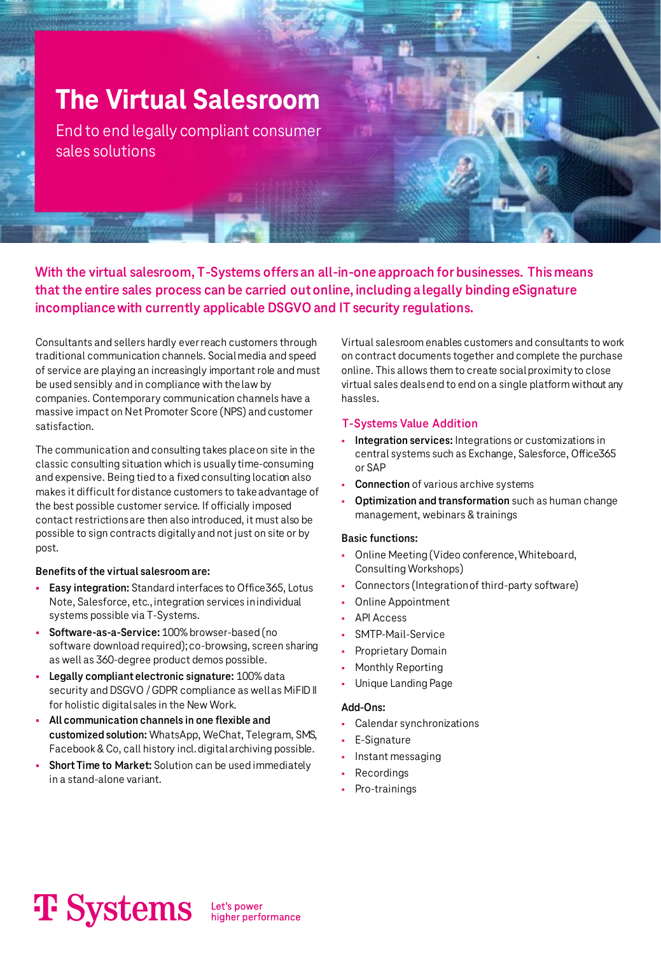# **The Virtual Salesroom**

End to end legally compliant consumer sales solutions

**With the virtual salesroom, T-Systems offers an all-in-one approach for businesses. This means that the entire sales process can be carried out online, including a legally binding eSignature incompliance with currently applicable DSGVO and IT security regulations.**

Consultants and sellers hardly ever reach customers through traditional communication channels. Social media and speed of service are playing an increasingly important role and must be used sensibly and in compliance with the law by companies. Contemporary communication channels have a massive impact on Net Promoter Score (NPS) and customer satisfaction.

The communication and consulting takes place on site in the classic consulting situation which is usually time-consuming and expensive. Being tied to a fixed consulting location also makes it difficult for distance customers to take advantage of the best possible customer service. If officially imposed contact restrictions are then also introduced, it must also be possible to sign contracts digitally and not just on site or by post.

#### **Benefits of the virtual salesroom are:**

- **Easy integration:** Standard interfaces to Office365, Lotus Note, Salesforce, etc., integration services in individual systems possible via T-Systems.
- Software-as-a-Service: 100% browser-based (no software download required); co-browsing, screen sharing as well as 360-degree product demos possible.
- Legally compliant electronic signature: 100% data security and DSGVO / GDPR compliance as well as MiFID II for holistic digital sales in the New Work.
- All communication channels in one flexible and **customized solution:** WhatsApp, WeChat, Telegram, SMS, Facebook & Co, call history incl. digital archiving possible.
- **Short Time to Market:** Solution can be used immediately in a stand-alone variant.

Virtual salesroom enables customers and consultants to work on contract documents together and complete the purchase online. This allows them to create social proximity to close virtual sales deals end to end on a single platform without any hassles.

#### **T-Systems Value Addition**

- Integration services: Integrations or customizations in central systems such as Exchange, Salesforce, Office365 or SAP
- **Connection** of various archive systems
- **Optimization and transformation** such as human change management, webinars & trainings

#### **Basic functions:**

- Online Meeting (Video conference, Whiteboard, Consulting Workshops)
- Connectors (Integration of third-party software)
- Online Appointment
- **API Access**
- SMTP-Mail-Service
- Proprietary Domain
- Monthly Reporting
- Unique Landing Page

#### **Add-Ons:**

- Calendar synchronizations
- E-Signature
- Instant messaging
- **Recordings**
- Pro-trainings

# **T** Systems

Let's power<br>higher performance